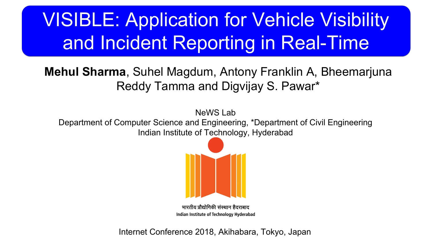# VISIBLE: Application for Vehicle Visibility and Incident Reporting in Real-Time

## **Mehul Sharma**, Suhel Magdum, Antony Franklin A, Bheemarjuna Reddy Tamma and Digvijay S. Pawar\*

NeWS Lab Department of Computer Science and Engineering, \*Department of Civil Engineering Indian Institute of Technology, Hyderabad



भारतीय प्रौद्योगिकी संस्थान हैदराबाद Indian Institute of Technology Hyderabad

Internet Conference 2018, Akihabara, Tokyo, Japan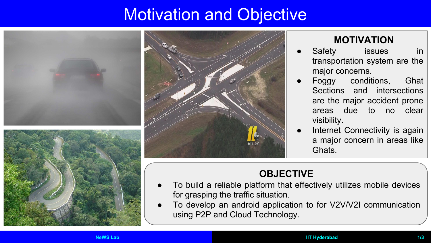## **Motivation and Objective**







#### **MOTIVATION**

- Safety issues in transportation system are the major concerns.
- Foggy conditions, Ghat Sections and intersections are the major accident prone areas due to no clear visibility.
- Internet Connectivity is again a major concern in areas like Ghats.

### **OBJECTIVE**

- To build a reliable platform that effectively utilizes mobile devices for grasping the traffic situation.
- To develop an android application to for V2V/V2I communication using P2P and Cloud Technology.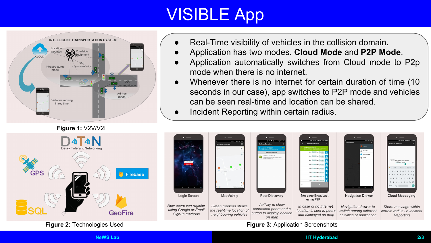# VISIBLE App



#### **Figure 1:** V2V/V2I

- Real-Time visibility of vehicles in the collision domain.
- Application has two modes. **Cloud Mode** and **P2P Mode**.
- Application automatically switches from Cloud mode to P2p mode when there is no internet.
- Whenever there is no internet for certain duration of time (10) seconds in our case), app switches to P2P mode and vehicles can be seen real-time and location can be shared.
- Incident Reporting within certain radius.



#### **NeWS Lab IIT Hyderabad 2/3**